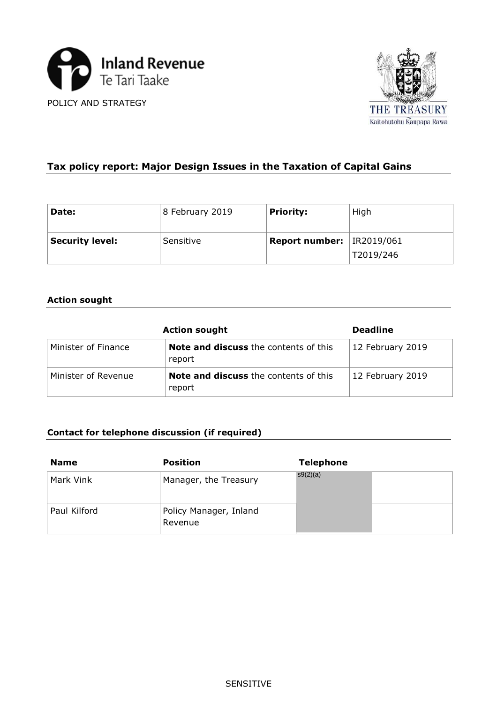



| Tax policy report: Major Design Issues in the Taxation of Capital Gains |                 |                       |            |  |  |
|-------------------------------------------------------------------------|-----------------|-----------------------|------------|--|--|
|                                                                         |                 |                       |            |  |  |
|                                                                         |                 |                       |            |  |  |
| Date:                                                                   | 8 February 2019 | <b>Priority:</b>      | High       |  |  |
|                                                                         |                 |                       |            |  |  |
| <b>Security level:</b>                                                  | Sensitive       | <b>Report number:</b> | IR2019/061 |  |  |
|                                                                         |                 |                       | T2019/246  |  |  |

# **Action sought**

| <b>Action sought</b> | <b>Deadline</b>                                        |                  |  |
|----------------------|--------------------------------------------------------|------------------|--|
| Minister of Finance  | <b>Note and discuss</b> the contents of this<br>report | 12 February 2019 |  |
| Minister of Revenue  | <b>Note and discuss</b> the contents of this<br>report | 12 February 2019 |  |

# **Contact for telephone discussion (if required)**

| <b>Name</b>  | <b>Position</b>                   | <b>Telephone</b> |  |
|--------------|-----------------------------------|------------------|--|
| Mark Vink    | Manager, the Treasury             | s9(2)(a)         |  |
| Paul Kilford | Policy Manager, Inland<br>Revenue |                  |  |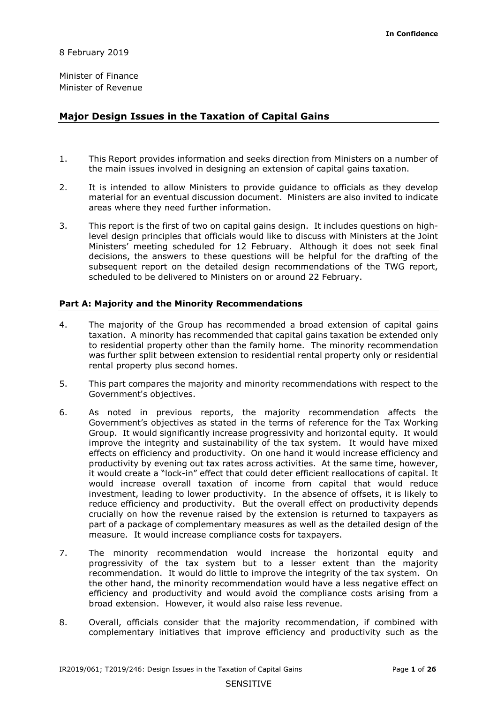8 February 2019

Minister of Finance Minister of Revenue

# **Major Design Issues in the Taxation of Capital Gains**

- 1. This Report provides information and seeks direction from Ministers on a number of the main issues involved in designing an extension of capital gains taxation.
- material for an eventual discussion document. Ministers are also invited to indicate 2. It is intended to allow Ministers to provide guidance to officials as they develop areas where they need further information.
- 3. This report is the first of two on capital gains design. It includes questions on highlevel design principles that officials would like to discuss with Ministers at the Joint Ministers' meeting scheduled for 12 February. Although it does not seek final decisions, the answers to these questions will be helpful for the drafting of the subsequent report on the detailed design recommendations of the TWG report, scheduled to be delivered to Ministers on or around 22 February.

#### **Part A: Majority and the Minority Recommendations**

- 4. The majority of the Group has recommended a broad extension of capital gains taxation. A minority has recommended that capital gains taxation be extended only to residential property other than the family home. The minority recommendation was further split between extension to residential rental property only or residential rental property plus second homes.
- 5. This part compares the majority and minority recommendations with respect to the Government's objectives.
- Group. It would significantly increase progressivity and horizontal equity. It would improve the integrity and sustainability of the tax system. It would have mixed effects on efficiency and productivity. On one hand it would increase efficiency and it would create a "lock-in" effect that could deter efficient reallocations of capital. It investment, leading to lower productivity. In the absence of offsets, it is likely to measure. It would increase compliance costs for taxpayers. 6. As noted in previous reports, the majority recommendation affects the Government's objectives as stated in the terms of reference for the Tax Working productivity by evening out tax rates across activities. At the same time, however, would increase overall taxation of income from capital that would reduce reduce efficiency and productivity. But the overall effect on productivity depends crucially on how the revenue raised by the extension is returned to taxpayers as part of a package of complementary measures as well as the detailed design of the
- recommendation. It would do little to improve the integrity of the tax system. On broad extension. However, it would also raise less revenue. 7. The minority recommendation would increase the horizontal equity and progressivity of the tax system but to a lesser extent than the majority the other hand, the minority recommendation would have a less negative effect on efficiency and productivity and would avoid the compliance costs arising from a
- 8. Overall, officials consider that the majority recommendation, if combined with complementary initiatives that improve efficiency and productivity such as the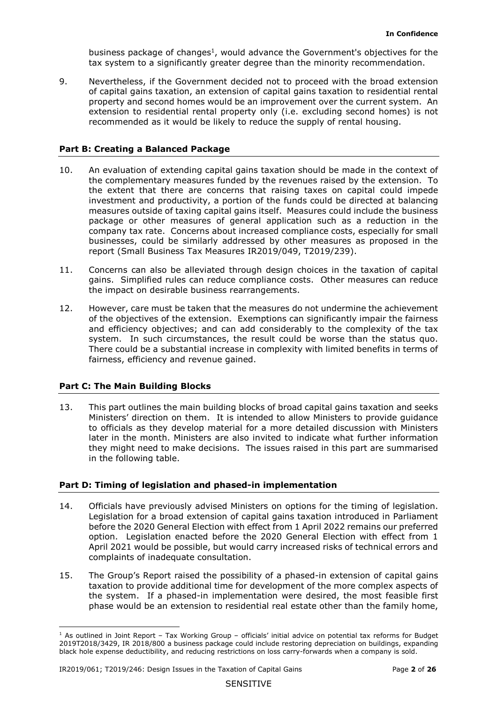tax system to a significantly greater degree than the minority recommendation. business package of changes<sup>1</sup>, would advance the Government's objectives for the

 extension to residential rental property only (i.e. excluding second homes) is not 9. Nevertheless, if the Government decided not to proceed with the broad extension of capital gains taxation, an extension of capital gains taxation to residential rental property and second homes would be an improvement over the current system. An recommended as it would be likely to reduce the supply of rental housing.

# **Part B: Creating a Balanced Package**

- measures outside of taxing capital gains itself. Measures could include the business package or other measures of general application such as a reduction in the 10. An evaluation of extending capital gains taxation should be made in the context of the complementary measures funded by the revenues raised by the extension. To the extent that there are concerns that raising taxes on capital could impede investment and productivity, a portion of the funds could be directed at balancing company tax rate. Concerns about increased compliance costs, especially for small businesses, could be similarly addressed by other measures as proposed in the report (Small Business Tax Measures IR2019/049, T2019/239).
- gains. Simplified rules can reduce compliance costs. Other measures can reduce 11. Concerns can also be alleviated through design choices in the taxation of capital the impact on desirable business rearrangements.
- of the objectives of the extension. Exemptions can significantly impair the fairness system. In such circumstances, the result could be worse than the status quo. 12. However, care must be taken that the measures do not undermine the achievement and efficiency objectives; and can add considerably to the complexity of the tax There could be a substantial increase in complexity with limited benefits in terms of fairness, efficiency and revenue gained.

# **Part C: The Main Building Blocks**

 Ministers' direction on them. It is intended to allow Ministers to provide guidance 13. This part outlines the main building blocks of broad capital gains taxation and seeks to officials as they develop material for a more detailed discussion with Ministers later in the month. Ministers are also invited to indicate what further information they might need to make decisions. The issues raised in this part are summarised in the following table.

# **Part D: Timing of legislation and phased-in implementation**

- option. Legislation enacted before the 2020 General Election with effect from 1 14. Officials have previously advised Ministers on options for the timing of legislation. Legislation for a broad extension of capital gains taxation introduced in Parliament before the 2020 General Election with effect from 1 April 2022 remains our preferred April 2021 would be possible, but would carry increased risks of technical errors and complaints of inadequate consultation.
- taxation to provide additional time for development of the more complex aspects of the system. If a phased-in implementation were desired, the most feasible first 15. The Group's Report raised the possibility of a phased-in extension of capital gains phase would be an extension to residential real estate other than the family home,

 $<sup>1</sup>$  As outlined in Joint Report – Tax Working Group – officials' initial advice on potential tax reforms for Budget</sup> black hole expense deductibility, and reducing restrictions on loss carry-forwards when a company is sold. 2019T2018/3429, IR 2018/800 a business package could include restoring depreciation on buildings, expanding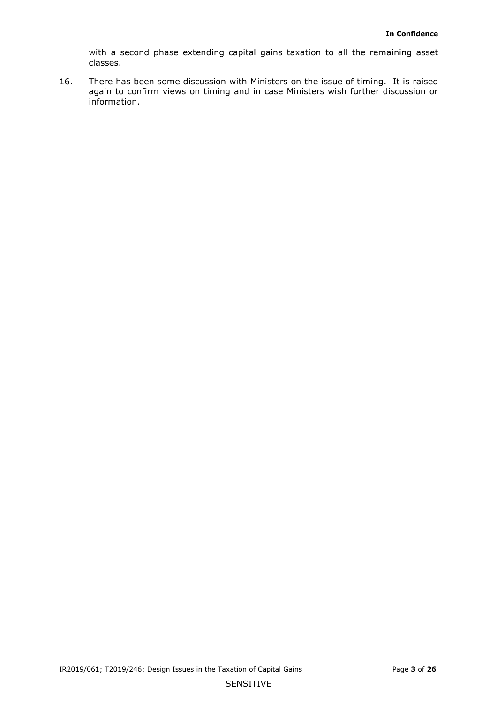with a second phase extending capital gains taxation to all the remaining asset classes.

 16. There has been some discussion with Ministers on the issue of timing. It is raised again to confirm views on timing and in case Ministers wish further discussion or information.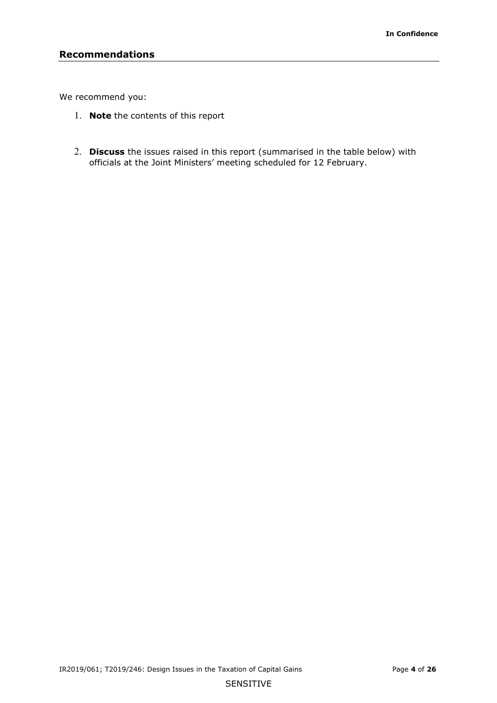We recommend you:

- 1. **Note** the contents of this report
- 2. **Discuss** the issues raised in this report (summarised in the table below) with officials at the Joint Ministers' meeting scheduled for 12 February.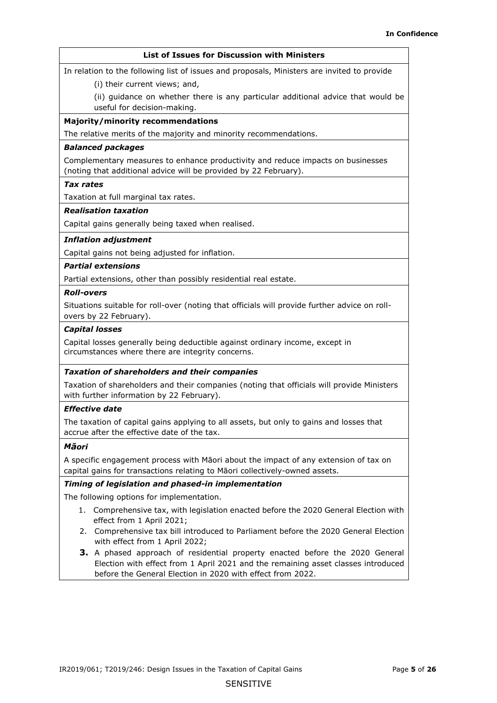#### **List of Issues for Discussion with Ministers**

In relation to the following list of issues and proposals, Ministers are invited to provide

(i) their current views; and,

(ii) guidance on whether there is any particular additional advice that would be useful for decision-making.

#### **Majority/minority recommendations**

The relative merits of the majority and minority recommendations.

#### *Balanced packages*

Complementary measures to enhance productivity and reduce impacts on businesses (noting that additional advice will be provided by 22 February).

#### *Tax rates*

Taxation at full marginal tax rates.

#### *Realisation taxation*

Capital gains generally being taxed when realised.

#### *Inflation adjustment*

Capital gains not being adjusted for inflation.

#### *Partial extensions*

Partial extensions, other than possibly residential real estate.

#### *Roll-overs*

Situations suitable for roll-over (noting that officials will provide further advice on rollovers by 22 February).

#### *Capital losses*

Capital losses generally being deductible against ordinary income, except in circumstances where there are integrity concerns.

#### *Taxation of shareholders and their companies*

Taxation of shareholders and their companies (noting that officials will provide Ministers with further information by 22 February).

#### *Effective date*

The taxation of capital gains applying to all assets, but only to gains and losses that accrue after the effective date of the tax.

#### *Māori*

 A specific engagement process with Māori about the impact of any extension of tax on capital gains for transactions relating to Māori collectively-owned assets.

#### *Timing of legislation and phased-in implementation*

The following options for implementation.

- 1. Comprehensive tax, with legislation enacted before the 2020 General Election with effect from 1 April 2021;
- 2. Comprehensive tax bill introduced to Parliament before the 2020 General Election with effect from 1 April 2022;
- **3.** A phased approach of residential property enacted before the 2020 General Election with effect from 1 April 2021 and the remaining asset classes introduced before the General Election in 2020 with effect from 2022.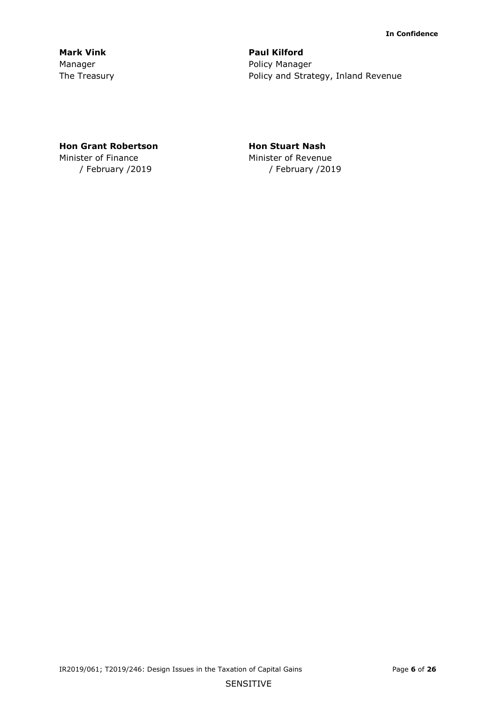**Mark Vink Communist Communist Paul Kilford** 

Manager **Manager** Policy Manager The Treasury **Policy and Strategy, Inland Revenue** 

# **Hon Grant Robertson Hon Stuart Nash**

Minister of Finance Minister of Revenue

/ February /2019 / February /2019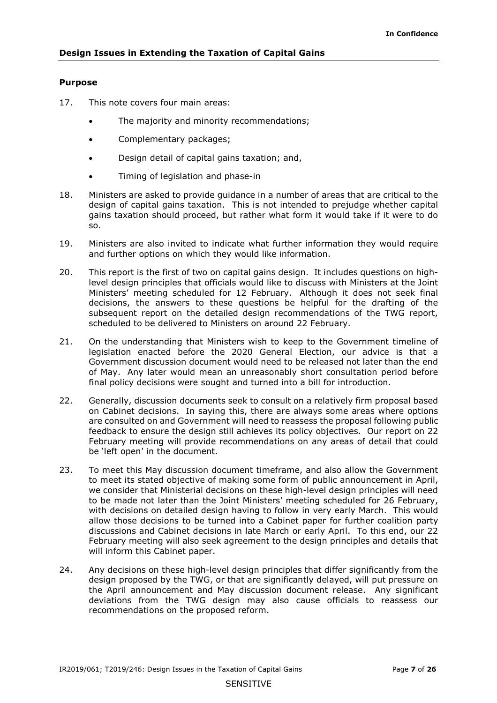#### **Purpose**

- 17. This note covers four main areas:
	- The majority and minority recommendations;
	- Complementary packages;
	- Design detail of capital gains taxation; and,
	- Timing of legislation and phase-in
- design of capital gains taxation. This is not intended to prejudge whether capital 18. Ministers are asked to provide guidance in a number of areas that are critical to the gains taxation should proceed, but rather what form it would take if it were to do so.
- and further options on which they would like information. 19. Ministers are also invited to indicate what further information they would require
- 20. This report is the first of two on capital gains design. It includes questions on highlevel design principles that officials would like to discuss with Ministers at the Joint Ministers' meeting scheduled for 12 February. Although it does not seek final decisions, the answers to these questions be helpful for the drafting of the subsequent report on the detailed design recommendations of the TWG report, scheduled to be delivered to Ministers on around 22 February.
- 21. On the understanding that Ministers wish to keep to the Government timeline of legislation enacted before the 2020 General Election, our advice is that a Government discussion document would need to be released not later than the end of May. Any later would mean an unreasonably short consultation period before final policy decisions were sought and turned into a bill for introduction.
- on Cabinet decisions. In saying this, there are always some areas where options feedback to ensure the design still achieves its policy objectives. Our report on 22 22. Generally, discussion documents seek to consult on a relatively firm proposal based are consulted on and Government will need to reassess the proposal following public February meeting will provide recommendations on any areas of detail that could be 'left open' in the document.
- 23. To meet this May discussion document timeframe, and also allow the Government to meet its stated objective of making some form of public announcement in April, we consider that Ministerial decisions on these high-level design principles will need to be made not later than the Joint Ministers' meeting scheduled for 26 February, with decisions on detailed design having to follow in very early March. This would allow those decisions to be turned into a Cabinet paper for further coalition party discussions and Cabinet decisions in late March or early April. To this end, our 22 February meeting will also seek agreement to the design principles and details that will inform this Cabinet paper.
- design proposed by the TWG, or that are significantly delayed, will put pressure on 24. Any decisions on these high-level design principles that differ significantly from the the April announcement and May discussion document release. Any significant deviations from the TWG design may also cause officials to reassess our recommendations on the proposed reform.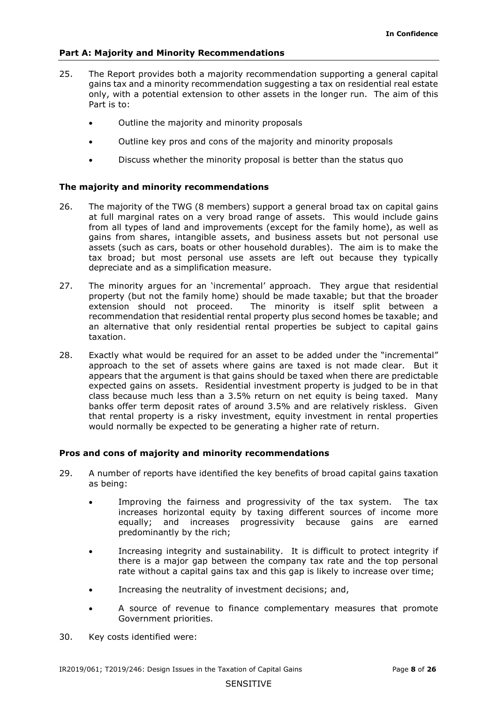## **Part A: Majority and Minority Recommendations**

- 25. The Report provides both a majority recommendation supporting a general capital gains tax and a minority recommendation suggesting a tax on residential real estate only, with a potential extension to other assets in the longer run. The aim of this Part is to:
	- Outline the majority and minority proposals
	- Outline key pros and cons of the majority and minority proposals
	- Discuss whether the minority proposal is better than the status quo

# **The majority and minority recommendations**

- 26. The majority of the TWG (8 members) support a general broad tax on capital gains at full marginal rates on a very broad range of assets. This would include gains from all types of land and improvements (except for the family home), as well as gains from shares, intangible assets, and business assets but not personal use assets (such as cars, boats or other household durables). The aim is to make the tax broad; but most personal use assets are left out because they typically depreciate and as a simplification measure.
- 27. The minority argues for an 'incremental' approach. They argue that residential property (but not the family home) should be made taxable; but that the broader extension should not proceed. The minority is itself split between a recommendation that residential rental property plus second homes be taxable; and an alternative that only residential rental properties be subject to capital gains taxation.
- approach to the set of assets where gains are taxed is not made clear. But it class because much less than a 3.5% return on net equity is being taxed. Many banks offer term deposit rates of around 3.5% and are relatively riskless. Given that rental property is a risky investment, equity investment in rental properties would normally be expected to be generating a higher rate of return. 28. Exactly what would be required for an asset to be added under the "incremental" appears that the argument is that gains should be taxed when there are predictable expected gains on assets. Residential investment property is judged to be in that

## **Pros and cons of majority and minority recommendations**

- 29. A number of reports have identified the key benefits of broad capital gains taxation as being:
	- • Improving the fairness and progressivity of the tax system. The tax increases horizontal equity by taxing different sources of income more equally; and increases progressivity because gains are earned predominantly by the rich;
	- Increasing integrity and sustainability. It is difficult to protect integrity if there is a major gap between the company tax rate and the top personal rate without a capital gains tax and this gap is likely to increase over time;
	- Increasing the neutrality of investment decisions; and,
	- A source of revenue to finance complementary measures that promote Government priorities.
- 30. Key costs identified were: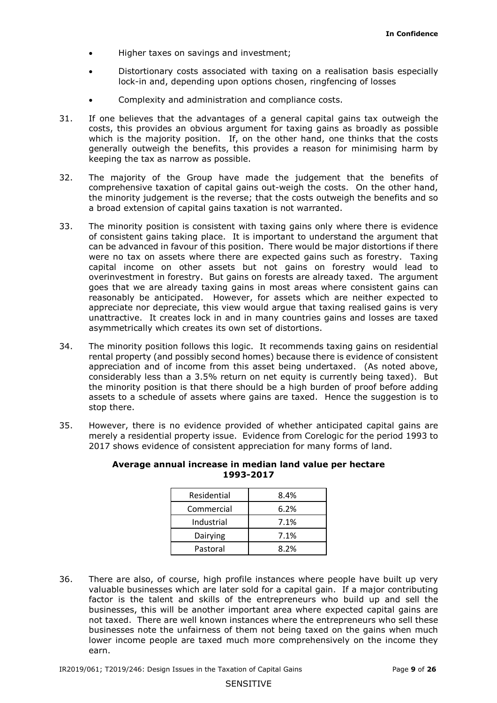- Higher taxes on savings and investment;
- Distortionary costs associated with taxing on a realisation basis especially lock-in and, depending upon options chosen, ringfencing of losses
- Complexity and administration and compliance costs.
- which is the majority position. If, on the other hand, one thinks that the costs keeping the tax as narrow as possible. 31. If one believes that the advantages of a general capital gains tax outweigh the costs, this provides an obvious argument for taxing gains as broadly as possible generally outweigh the benefits, this provides a reason for minimising harm by
- comprehensive taxation of capital gains out-weigh the costs. On the other hand, the minority judgement is the reverse; that the costs outweigh the benefits and so 32. The majority of the Group have made the judgement that the benefits of a broad extension of capital gains taxation is not warranted.
- of consistent gains taking place. It is important to understand the argument that can be advanced in favour of this position. There would be major distortions if there were no tax on assets where there are expected gains such as forestry. Taxing capital income on other assets but not gains on forestry would lead to appreciate nor depreciate, this view would argue that taxing realised gains is very asymmetrically which creates its own set of distortions. 33. The minority position is consistent with taxing gains only where there is evidence overinvestment in forestry. But gains on forests are already taxed. The argument goes that we are already taxing gains in most areas where consistent gains can reasonably be anticipated. However, for assets which are neither expected to unattractive. It creates lock in and in many countries gains and losses are taxed
- 34. The minority position follows this logic. It recommends taxing gains on residential considerably less than a 3.5% return on net equity is currently being taxed). But rental property (and possibly second homes) because there is evidence of consistent appreciation and of income from this asset being undertaxed. (As noted above, the minority position is that there should be a high burden of proof before adding assets to a schedule of assets where gains are taxed. Hence the suggestion is to stop there.
- 2017 shows evidence of consistent appreciation for many forms of land. 35. However, there is no evidence provided of whether anticipated capital gains are merely a residential property issue. Evidence from Corelogic for the period 1993 to

| Residential | 8.4% |
|-------------|------|
| Commercial  | 6.2% |
| Industrial  | 7.1% |
| Dairying    | 7.1% |
| Pastoral    | 8.2% |

#### **Average annual increase in median land value per hectare 1993-2017**

earn.<br>IR2019/061; T2019/246: Design Issues in the Taxation of Capital Gains Page **9** of 26 valuable businesses which are later sold for a capital gain. If a major contributing businesses, this will be another important area where expected capital gains are not taxed. There are well known instances where the entrepreneurs who sell these earn. 36. There are also, of course, high profile instances where people have built up very factor is the talent and skills of the entrepreneurs who build up and sell the businesses note the unfairness of them not being taxed on the gains when much lower income people are taxed much more comprehensively on the income they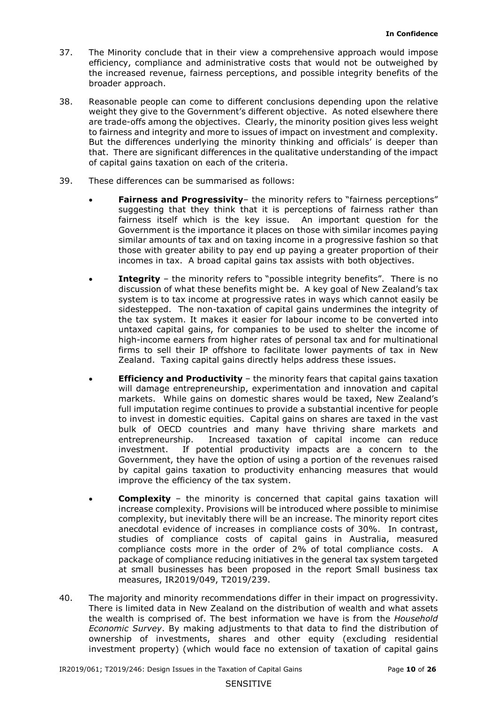- the increased revenue, fairness perceptions, and possible integrity benefits of the broader approach. 37. The Minority conclude that in their view a comprehensive approach would impose efficiency, compliance and administrative costs that would not be outweighed by
- to fairness and integrity and more to issues of impact on investment and complexity. of capital gains taxation on each of the criteria. 38. Reasonable people can come to different conclusions depending upon the relative weight they give to the Government's different objective. As noted elsewhere there are trade-offs among the objectives. Clearly, the minority position gives less weight But the differences underlying the minority thinking and officials' is deeper than that. There are significant differences in the qualitative understanding of the impact
- 39. These differences can be summarised as follows:
	- suggesting that they think that it is perceptions of fairness rather than • **Fairness and Progressivity**– the minority refers to "fairness perceptions" fairness itself which is the key issue. An important question for the Government is the importance it places on those with similar incomes paying similar amounts of tax and on taxing income in a progressive fashion so that those with greater ability to pay end up paying a greater proportion of their incomes in tax. A broad capital gains tax assists with both objectives.
	- • **Integrity** the minority refers to "possible integrity benefits". There is no discussion of what these benefits might be. A key goal of New Zealand's tax system is to tax income at progressive rates in ways which cannot easily be sidestepped. The non-taxation of capital gains undermines the integrity of the tax system. It makes it easier for labour income to be converted into untaxed capital gains, for companies to be used to shelter the income of high-income earners from higher rates of personal tax and for multinational firms to sell their IP offshore to facilitate lower payments of tax in New Zealand. Taxing capital gains directly helps address these issues.
	- markets. While gains on domestic shares would be taxed, New Zealand's entrepreneurship. Increased taxation of capital income can reduce investment. Government, they have the option of using a portion of the revenues raised • **Efficiency and Productivity** – the minority fears that capital gains taxation will damage entrepreneurship, experimentation and innovation and capital full imputation regime continues to provide a substantial incentive for people to invest in domestic equities. Capital gains on shares are taxed in the vast bulk of OECD countries and many have thriving share markets and If potential productivity impacts are a concern to the by capital gains taxation to productivity enhancing measures that would improve the efficiency of the tax system.
	- complexity, but inevitably there will be an increase. The minority report cites anecdotal evidence of increases in compliance costs of 30%. In contrast, compliance costs more in the order of 2% of total compliance costs. A package of compliance reducing initiatives in the general tax system targeted **Complexity** – the minority is concerned that capital gains taxation will increase complexity. Provisions will be introduced where possible to minimise studies of compliance costs of capital gains in Australia, measured at small businesses has been proposed in the report Small business tax measures, IR2019/049, T2019/239.
- The majority and minority recommendations differ in their impact on progressivity. *Economic Survey*. By making adjustments to that data to find the distribution of 40. The majority and minority recommendations differ in their impact on progressivity. There is limited data in New Zealand on the distribution of wealth and what assets the wealth is comprised of. The best information we have is from the *Household*  ownership of investments, shares and other equity (excluding residential investment property) (which would face no extension of taxation of capital gains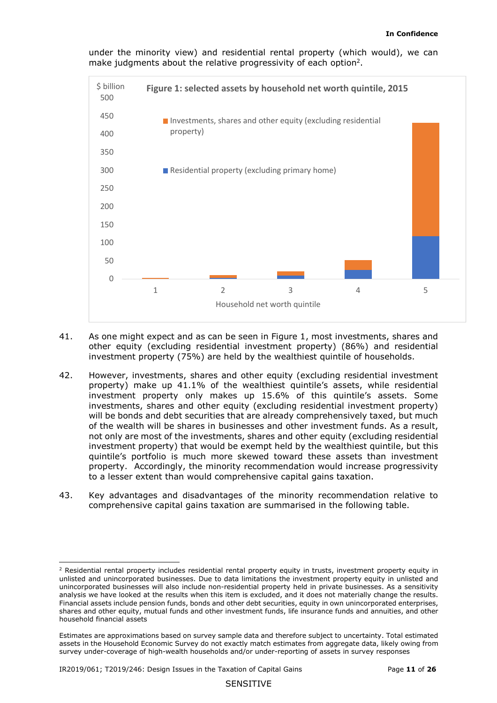

under the minority view) and residential rental property (which would), we can make judgments about the relative progressivity of each option<sup>2</sup>.

- investment property (75%) are held by the wealthiest quintile of households. 41. As one might expect and as can be seen in Figure 1, most investments, shares and other equity (excluding residential investment property) (86%) and residential
- to a lesser extent than would comprehensive capital gains taxation. 42. However, investments, shares and other equity (excluding residential investment property) make up 41.1% of the wealthiest quintile's assets, while residential investment property only makes up 15.6% of this quintile's assets. Some investments, shares and other equity (excluding residential investment property) will be bonds and debt securities that are already comprehensively taxed, but much of the wealth will be shares in businesses and other investment funds. As a result, not only are most of the investments, shares and other equity (excluding residential investment property) that would be exempt held by the wealthiest quintile, but this quintile's portfolio is much more skewed toward these assets than investment property. Accordingly, the minority recommendation would increase progressivity
- comprehensive capital gains taxation are summarised in the following table. 43. Key advantages and disadvantages of the minority recommendation relative to

 $\overline{a}$  unincorporated businesses will also include non-residential property held in private businesses. As a sensitivity Financial assets include pension funds, bonds and other debt securities, equity in own unincorporated enterprises, shares and other equity, mutual funds and other investment funds, life insurance funds and annuities, and other <sup>2</sup> Residential rental property includes residential rental property equity in trusts, investment property equity in unlisted and unincorporated businesses. Due to data limitations the investment property equity in unlisted and analysis we have looked at the results when this item is excluded, and it does not materially change the results. household financial assets

 Estimates are approximations based on survey sample data and therefore subject to uncertainty. Total estimated assets in the Household Economic Survey do not exactly match estimates from aggregate data, likely owing from survey under-coverage of high-wealth households and/or under-reporting of assets in survey responses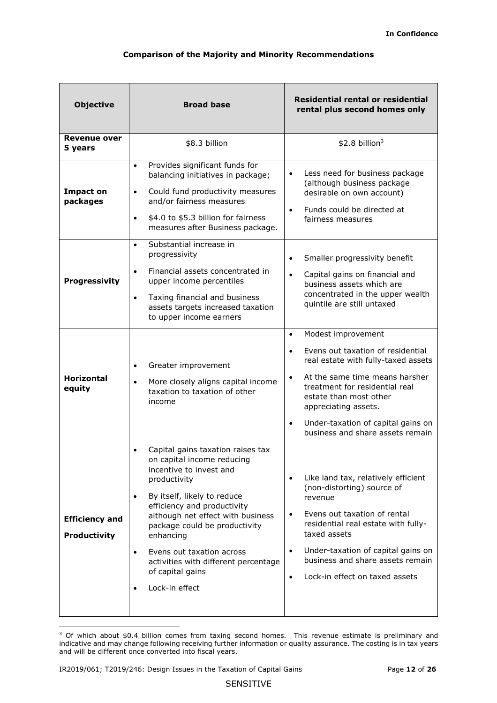# **Comparison of the Majority and Minority Recommendations**

| <b>Objective</b>                             | <b>Broad base</b>                                                                                                                                                                                                                                                                                                                                                                                             | Residential rental or residential<br>rental plus second homes only                                                                                                                                                                                                                                                                  |  |  |
|----------------------------------------------|---------------------------------------------------------------------------------------------------------------------------------------------------------------------------------------------------------------------------------------------------------------------------------------------------------------------------------------------------------------------------------------------------------------|-------------------------------------------------------------------------------------------------------------------------------------------------------------------------------------------------------------------------------------------------------------------------------------------------------------------------------------|--|--|
| <b>Revenue over</b><br>5 years               | \$8.3 billion                                                                                                                                                                                                                                                                                                                                                                                                 | $$2.8$ billion <sup>3</sup>                                                                                                                                                                                                                                                                                                         |  |  |
| <b>Impact on</b><br>packages                 | Provides significant funds for<br>$\bullet$<br>balancing initiatives in package;<br>Could fund productivity measures<br>$\bullet$<br>and/or fairness measures<br>\$4.0 to \$5.3 billion for fairness<br>$\bullet$<br>measures after Business package.                                                                                                                                                         | Less need for business package<br>$\bullet$<br>(although business package<br>desirable on own account)<br>Funds could be directed at<br>$\bullet$<br>fairness measures                                                                                                                                                              |  |  |
| Progressivity                                | Substantial increase in<br>$\bullet$<br>progressivity<br>Financial assets concentrated in<br>$\bullet$<br>upper income percentiles<br>Taxing financial and business<br>$\bullet$<br>assets targets increased taxation<br>to upper income earners                                                                                                                                                              | Smaller progressivity benefit<br>$\bullet$<br>Capital gains on financial and<br>$\bullet$<br>business assets which are<br>concentrated in the upper wealth<br>quintile are still untaxed<br>Modest improvement<br>$\bullet$                                                                                                         |  |  |
| <b>Horizontal</b><br>equity                  | Greater improvement<br>$\bullet$<br>More closely aligns capital income<br>taxation to taxation of other<br>income                                                                                                                                                                                                                                                                                             | Evens out taxation of residential<br>$\bullet$<br>real estate with fully-taxed assets<br>At the same time means harsher<br>$\bullet$<br>treatment for residential real<br>estate than most other<br>appreciating assets.<br>Under-taxation of capital gains on<br>$\bullet$<br>business and share assets remain                     |  |  |
| <b>Efficiency and</b><br><b>Productivity</b> | Capital gains taxation raises tax<br>$\bullet$<br>on capital income reducing<br>incentive to invest and<br>productivity<br>By itself, likely to reduce<br>$\bullet$<br>efficiency and productivity<br>although net effect with business<br>package could be productivity<br>enhancing<br>Evens out taxation across<br>$\bullet$<br>activities with different percentage<br>of capital gains<br>Lock-in effect | Like land tax, relatively efficient<br>$\bullet$<br>(non-distorting) source of<br>revenue<br>Evens out taxation of rental<br>$\bullet$<br>residential real estate with fully-<br>taxed assets<br>Under-taxation of capital gains on<br>$\bullet$<br>business and share assets remain<br>Lock-in effect on taxed assets<br>$\bullet$ |  |  |

 indicative and may change following receiving further information or quality assurance. The costing is in tax years <sup>3</sup> Of which about \$0.4 billion comes from taxing second homes. This revenue estimate is preliminary and and will be different once converted into fiscal years.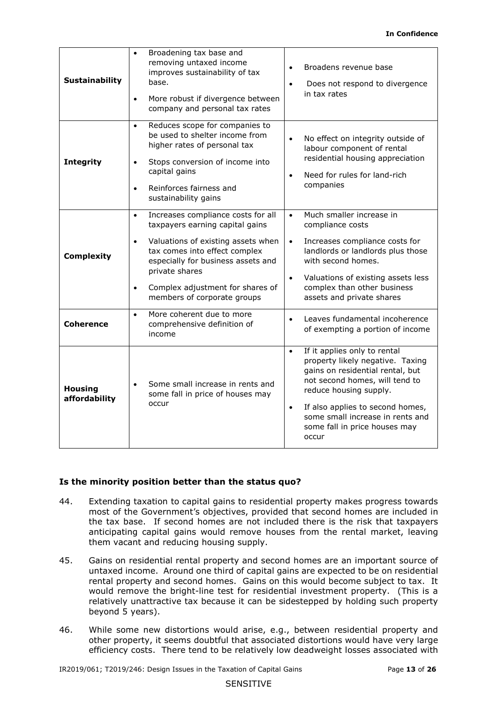#### **In Confidence**

| <b>Sustainability</b>           | Broadening tax base and<br>removing untaxed income<br>improves sustainability of tax<br>base.<br>More robust if divergence between<br>$\bullet$<br>company and personal tax rates                                                                                                                 | Broadens revenue base<br>Does not respond to divergence<br>in tax rates                                                                                                                                                                                                                         |
|---------------------------------|---------------------------------------------------------------------------------------------------------------------------------------------------------------------------------------------------------------------------------------------------------------------------------------------------|-------------------------------------------------------------------------------------------------------------------------------------------------------------------------------------------------------------------------------------------------------------------------------------------------|
| <b>Integrity</b>                | Reduces scope for companies to<br>$\bullet$<br>be used to shelter income from<br>higher rates of personal tax<br>Stops conversion of income into<br>$\bullet$<br>capital gains<br>Reinforces fairness and<br>$\bullet$<br>sustainability gains                                                    | No effect on integrity outside of<br>labour component of rental<br>residential housing appreciation<br>Need for rules for land-rich<br>companies                                                                                                                                                |
| <b>Complexity</b>               | Increases compliance costs for all<br>$\bullet$<br>taxpayers earning capital gains<br>Valuations of existing assets when<br>$\bullet$<br>tax comes into effect complex<br>especially for business assets and<br>private shares<br>Complex adjustment for shares of<br>members of corporate groups | Much smaller increase in<br>$\bullet$<br>compliance costs<br>Increases compliance costs for<br>$\bullet$<br>landlords or landlords plus those<br>with second homes.<br>Valuations of existing assets less<br>$\bullet$<br>complex than other business<br>assets and private shares              |
| <b>Coherence</b>                | More coherent due to more<br>$\bullet$<br>comprehensive definition of<br>income                                                                                                                                                                                                                   | Leaves fundamental incoherence<br>of exempting a portion of income                                                                                                                                                                                                                              |
| <b>Housing</b><br>affordability | Some small increase in rents and<br>some fall in price of houses may<br>occur                                                                                                                                                                                                                     | If it applies only to rental<br>$\bullet$<br>property likely negative. Taxing<br>gains on residential rental, but<br>not second homes, will tend to<br>reduce housing supply.<br>If also applies to second homes,<br>some small increase in rents and<br>some fall in price houses may<br>occur |

# **Is the minority position better than the status quo?**

- most of the Government's objectives, provided that second homes are included in the tax base. If second homes are not included there is the risk that taxpayers 44. Extending taxation to capital gains to residential property makes progress towards anticipating capital gains would remove houses from the rental market, leaving them vacant and reducing housing supply.
- 45. Gains on residential rental property and second homes are an important source of rental property and second homes. Gains on this would become subject to tax. It beyond 5 years). untaxed income. Around one third of capital gains are expected to be on residential would remove the bright-line test for residential investment property. (This is a relatively unattractive tax because it can be sidestepped by holding such property
- efficiency costs. There tend to be relatively low deadweight losses associated with 46. While some new distortions would arise, e.g., between residential property and other property, it seems doubtful that associated distortions would have very large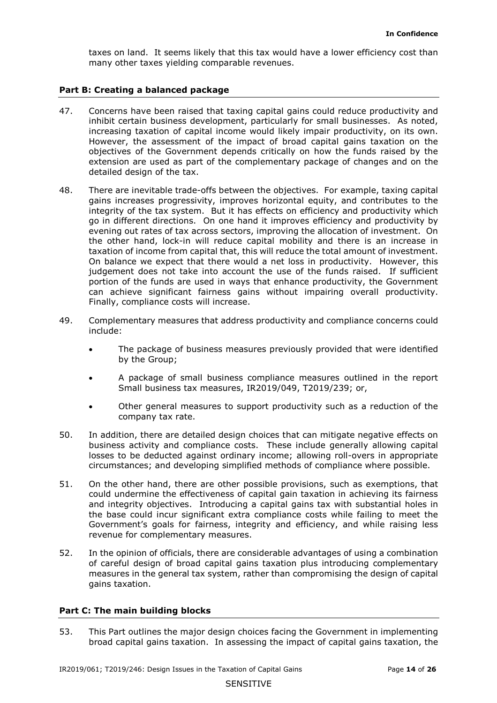many other taxes yielding comparable revenues. taxes on land. It seems likely that this tax would have a lower efficiency cost than

# **Part B: Creating a balanced package**

- increasing taxation of capital income would likely impair productivity, on its own. 47. Concerns have been raised that taxing capital gains could reduce productivity and inhibit certain business development, particularly for small businesses. As noted, However, the assessment of the impact of broad capital gains taxation on the objectives of the Government depends critically on how the funds raised by the extension are used as part of the complementary package of changes and on the detailed design of the tax.
- go in different directions. On one hand it improves efficiency and productivity by taxation of income from capital that, this will reduce the total amount of investment. judgement does not take into account the use of the funds raised. If sufficient can achieve significant fairness gains without impairing overall productivity.<br>Finally, compliance costs will increase. Finally, compliance costs will increase. 48. There are inevitable trade-offs between the objectives. For example, taxing capital gains increases progressivity, improves horizontal equity, and contributes to the integrity of the tax system. But it has effects on efficiency and productivity which evening out rates of tax across sectors, improving the allocation of investment. On the other hand, lock-in will reduce capital mobility and there is an increase in On balance we expect that there would a net loss in productivity. However, this portion of the funds are used in ways that enhance productivity, the Government
- 49. Complementary measures that address productivity and compliance concerns could include:
	- The package of business measures previously provided that were identified by the Group;
	- A package of small business compliance measures outlined in the report Small business tax measures, IR2019/049, T2019/239; or,
	- Other general measures to support productivity such as a reduction of the company tax rate.
- 50. In addition, there are detailed design choices that can mitigate negative effects on business activity and compliance costs. These include generally allowing capital losses to be deducted against ordinary income; allowing roll-overs in appropriate circumstances; and developing simplified methods of compliance where possible.
- and integrity objectives. Introducing a capital gains tax with substantial holes in Government's goals for fairness, integrity and efficiency, and while raising less 51. On the other hand, there are other possible provisions, such as exemptions, that could undermine the effectiveness of capital gain taxation in achieving its fairness the base could incur significant extra compliance costs while failing to meet the revenue for complementary measures.
- gains taxation. 52. In the opinion of officials, there are considerable advantages of using a combination of careful design of broad capital gains taxation plus introducing complementary measures in the general tax system, rather than compromising the design of capital

## **Part C: The main building blocks**

53. This Part outlines the major design choices facing the Government in implementing broad capital gains taxation. In assessing the impact of capital gains taxation, the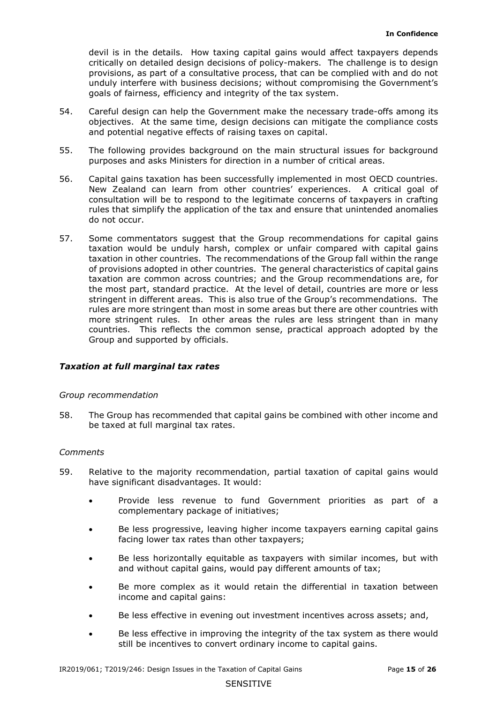provisions, as part of a consultative process, that can be complied with and do not goals of fairness, efficiency and integrity of the tax system. devil is in the details. How taxing capital gains would affect taxpayers depends critically on detailed design decisions of policy-makers. The challenge is to design unduly interfere with business decisions; without compromising the Government's

- objectives. At the same time, design decisions can mitigate the compliance costs and potential negative effects of raising taxes on capital. 54. Careful design can help the Government make the necessary trade-offs among its
- 55. The following provides background on the main structural issues for background purposes and asks Ministers for direction in a number of critical areas.
- Capital gains taxation has been successfully implemented in most OECD countries. consultation will be to respond to the legitimate concerns of taxpayers in crafting 56. Capital gains taxation has been successfully implemented in most OECD countries.<br>New Zealand can learn from other countries' experiences. A critical goal of rules that simplify the application of the tax and ensure that unintended anomalies do not occur.
- taxation would be unduly harsh, complex or unfair compared with capital gains taxation in other countries. The recommendations of the Group fall within the range of provisions adopted in other countries. The general characteristics of capital gains taxation are common across countries; and the Group recommendations are, for the most part, standard practice. At the level of detail, countries are more or less more stringent rules. In other areas the rules are less stringent than in many countries. This reflects the common sense, practical approach adopted by the 57. Some commentators suggest that the Group recommendations for capital gains stringent in different areas. This is also true of the Group's recommendations. The rules are more stringent than most in some areas but there are other countries with Group and supported by officials.

## *Taxation at full marginal tax rates*

## *Group recommendation*

58. The Group has recommended that capital gains be combined with other income and be taxed at full marginal tax rates.

## *Comments*

- have significant disadvantages. It would: 59. Relative to the majority recommendation, partial taxation of capital gains would
	- Provide less revenue to fund Government priorities as part of a complementary package of initiatives;
	- facing lower tax rates than other taxpayers; • Be less progressive, leaving higher income taxpayers earning capital gains
	- Be less horizontally equitable as taxpayers with similar incomes, but with and without capital gains, would pay different amounts of tax;
	- Be more complex as it would retain the differential in taxation between income and capital gains:
	- Be less effective in evening out investment incentives across assets; and,
	- Be less effective in improving the integrity of the tax system as there would still be incentives to convert ordinary income to capital gains.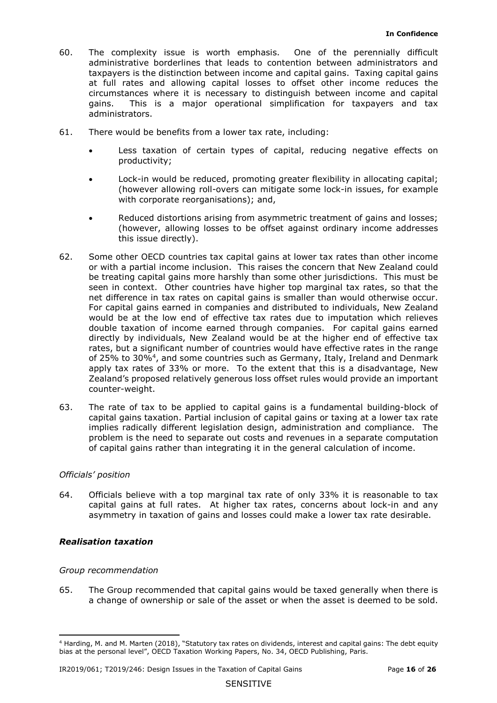- 60. The complexity issue is worth emphasis. One of the perennially difficult taxpayers is the distinction between income and capital gains. Taxing capital gains administrative borderlines that leads to contention between administrators and at full rates and allowing capital losses to offset other income reduces the circumstances where it is necessary to distinguish between income and capital gains. This is a major operational simplification for taxpayers and tax administrators.
- 61. There would be benefits from a lower tax rate, including:
	- • Less taxation of certain types of capital, reducing negative effects on productivity;
	- Lock-in would be reduced, promoting greater flexibility in allocating capital; (however allowing roll-overs can mitigate some lock-in issues, for example with corporate reorganisations); and,
	- Reduced distortions arising from asymmetric treatment of gains and losses; (however, allowing losses to be offset against ordinary income addresses this issue directly).
- seen in context. Other countries have higher top marginal tax rates, so that the net difference in tax rates on capital gains is smaller than would otherwise occur. of 25% to 30%<sup>4</sup>, and some countries such as Germany, Italy, Ireland and Denmark apply tax rates of 33% or more. To the extent that this is a disadvantage, New Zealand's proposed relatively generous loss offset rules would provide an important 62. Some other OECD countries tax capital gains at lower tax rates than other income or with a partial income inclusion. This raises the concern that New Zealand could be treating capital gains more harshly than some other jurisdictions. This must be For capital gains earned in companies and distributed to individuals, New Zealand would be at the low end of effective tax rates due to imputation which relieves double taxation of income earned through companies. For capital gains earned directly by individuals, New Zealand would be at the higher end of effective tax rates, but a significant number of countries would have effective rates in the range counter-weight.
- 63. The rate of tax to be applied to capital gains is a fundamental building-block of problem is the need to separate out costs and revenues in a separate computation of capital gains rather than integrating it in the general calculation of income. capital gains taxation. Partial inclusion of capital gains or taxing at a lower tax rate implies radically different legislation design, administration and compliance. The

 capital gains at full rates. At higher tax rates, concerns about lock-in and any 64. Officials believe with a top marginal tax rate of only 33% it is reasonable to tax asymmetry in taxation of gains and losses could make a lower tax rate desirable.

# *Realisation taxation*

## *Group recommendation*

65. The Group recommended that capital gains would be taxed generally when there is a change of ownership or sale of the asset or when the asset is deemed to be sold.

 4 Harding, M. and M. Marten (2018), "Statutory tax rates on dividends, interest and capital gains: The debt equity bias at the personal level", OECD Taxation Working Papers, No. 34, OECD Publishing, Paris.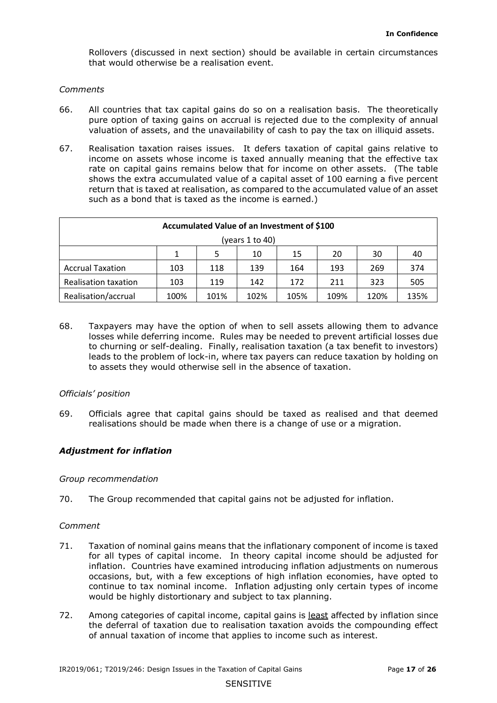Rollovers (discussed in next section) should be available in certain circumstances that would otherwise be a realisation event.

#### *Comments*

- 66. All countries that tax capital gains do so on a realisation basis. The theoretically valuation of assets, and the unavailability of cash to pay the tax on illiquid assets. pure option of taxing gains on accrual is rejected due to the complexity of annual
- valuation of assets, and the unavailability of cash to pay the tax on illiquid assets.<br>67. Realisation taxation raises issues. It defers taxation of capital gains relative to income on assets whose income is taxed annually meaning that the effective tax rate on capital gains remains below that for income on other assets. (The table shows the extra accumulated value of a capital asset of 100 earning a five percent return that is taxed at realisation, as compared to the accumulated value of an asset such as a bond that is taxed as the income is earned.)

| Accumulated Value of an Investment of \$100 |      |      |      |      |      |      |      |
|---------------------------------------------|------|------|------|------|------|------|------|
| (years 1 to 40)                             |      |      |      |      |      |      |      |
|                                             | 1    |      | 10   | 15   | 20   | 30   | 40   |
| <b>Accrual Taxation</b>                     | 103  | 118  | 139  | 164  | 193  | 269  | 374  |
| <b>Realisation taxation</b>                 | 103  | 119  | 142  | 172  | 211  | 323  | 505  |
| Realisation/accrual                         | 100% | 101% | 102% | 105% | 109% | 120% | 135% |

 to assets they would otherwise sell in the absence of taxation. 68. Taxpayers may have the option of when to sell assets allowing them to advance losses while deferring income. Rules may be needed to prevent artificial losses due to churning or self-dealing. Finally, realisation taxation (a tax benefit to investors) leads to the problem of lock-in, where tax payers can reduce taxation by holding on

## *Officials' position*

69. Officials agree that capital gains should be taxed as realised and that deemed realisations should be made when there is a change of use or a migration.

## *Adjustment for inflation*

## *Group recommendation*

70. The Group recommended that capital gains not be adjusted for inflation.

#### *Comment*

- for all types of capital income. In theory capital income should be adjusted for occasions, but, with a few exceptions of high inflation economies, have opted to continue to tax nominal income. Inflation adjusting only certain types of income 71. Taxation of nominal gains means that the inflationary component of income is taxed inflation. Countries have examined introducing inflation adjustments on numerous would be highly distortionary and subject to tax planning.
- of annual taxation of income that applies to income such as interest.<br>IR2019/061; T2019/246: Design Issues in the Taxation of Capital Gains Page **17** of **26** 72. Among categories of capital income, capital gains is least affected by inflation since the deferral of taxation due to realisation taxation avoids the compounding effect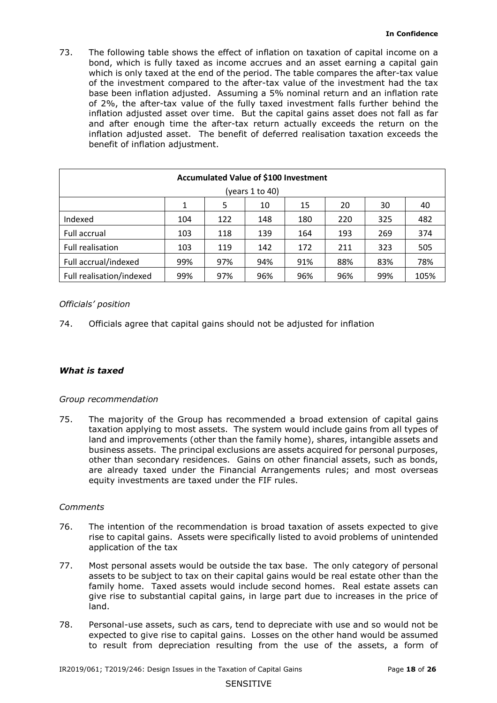inflation adjusted asset. The benefit of deferred realisation taxation exceeds the 73. The following table shows the effect of inflation on taxation of capital income on a bond, which is fully taxed as income accrues and an asset earning a capital gain which is only taxed at the end of the period. The table compares the after-tax value of the investment compared to the after-tax value of the investment had the tax base been inflation adjusted. Assuming a 5% nominal return and an inflation rate of 2%, the after-tax value of the fully taxed investment falls further behind the inflation adjusted asset over time. But the capital gains asset does not fall as far and after enough time the after-tax return actually exceeds the return on the benefit of inflation adjustment.

| Accumulated Value of \$100 Investment |                                      |     |     |     |     |     |      |
|---------------------------------------|--------------------------------------|-----|-----|-----|-----|-----|------|
| (years 1 to 40)                       |                                      |     |     |     |     |     |      |
|                                       | 5<br>1<br>10<br>15<br>20<br>30<br>40 |     |     |     |     |     |      |
| Indexed                               | 104                                  | 122 | 148 | 180 | 220 | 325 | 482  |
| Full accrual                          | 103                                  | 118 | 139 | 164 | 193 | 269 | 374  |
| <b>Full realisation</b>               | 103                                  | 119 | 142 | 172 | 211 | 323 | 505  |
| Full accrual/indexed                  | 99%                                  | 97% | 94% | 91% | 88% | 83% | 78%  |
| Full realisation/indexed              | 99%                                  | 97% | 96% | 96% | 96% | 99% | 105% |

# *Officials' position*

74. Officials agree that capital gains should not be adjusted for inflation

## *What is taxed*

## *Group recommendation*

 75. The majority of the Group has recommended a broad extension of capital gains taxation applying to most assets. The system would include gains from all types of business assets. The principal exclusions are assets acquired for personal purposes, other than secondary residences. Gains on other financial assets, such as bonds, equity investments are taxed under the FIF rules. land and improvements (other than the family home), shares, intangible assets and are already taxed under the Financial Arrangements rules; and most overseas

## *Comments*

- rise to capital gains. Assets were specifically listed to avoid problems of unintended 76. The intention of the recommendation is broad taxation of assets expected to give application of the tax
- give rise to substantial capital gains, in large part due to increases in the price of 77. Most personal assets would be outside the tax base. The only category of personal assets to be subject to tax on their capital gains would be real estate other than the family home. Taxed assets would include second homes. Real estate assets can land.
- expected to give rise to capital gains. Losses on the other hand would be assumed to result from depreciation resulting from the use of the assets, a form of 78. Personal-use assets, such as cars, tend to depreciate with use and so would not be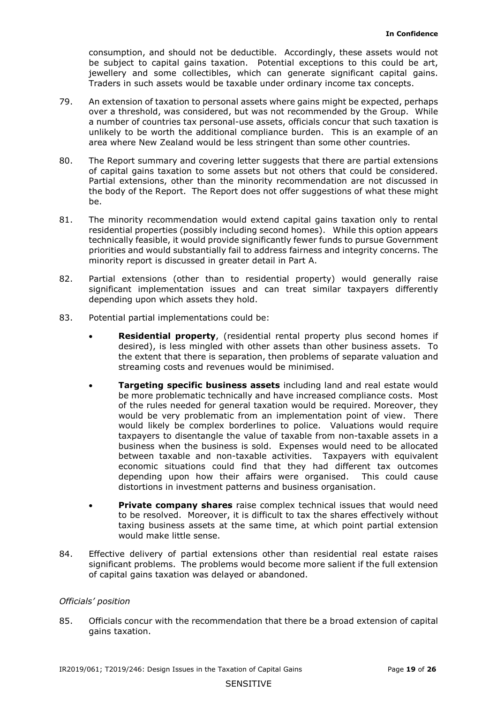jewellery and some collectibles, which can generate significant capital gains. consumption, and should not be deductible. Accordingly, these assets would not be subject to capital gains taxation. Potential exceptions to this could be art, Traders in such assets would be taxable under ordinary income tax concepts.

- over a threshold, was considered, but was not recommended by the Group. While a number of countries tax personal-use assets, officials concur that such taxation is 79. An extension of taxation to personal assets where gains might be expected, perhaps unlikely to be worth the additional compliance burden. This is an example of an area where New Zealand would be less stringent than some other countries.
- of capital gains taxation to some assets but not others that could be considered. be. 80. The Report summary and covering letter suggests that there are partial extensions Partial extensions, other than the minority recommendation are not discussed in the body of the Report. The Report does not offer suggestions of what these might
- minority report is discussed in greater detail in Part A. 81. The minority recommendation would extend capital gains taxation only to rental residential properties (possibly including second homes). While this option appears technically feasible, it would provide significantly fewer funds to pursue Government priorities and would substantially fail to address fairness and integrity concerns. The
- significant implementation issues and can treat similar taxpayers differently depending upon which assets they hold. 82. Partial extensions (other than to residential property) would generally raise
- 83. Potential partial implementations could be:
	- streaming costs and revenues would be minimised. • **Residential property**, (residential rental property plus second homes if desired), is less mingled with other assets than other business assets. To the extent that there is separation, then problems of separate valuation and
	- • **Targeting specific business assets** including land and real estate would be more problematic technically and have increased compliance costs. Most of the rules needed for general taxation would be required. Moreover, they depending upon how their affairs were organised. This could cause would be very problematic from an implementation point of view. There would likely be complex borderlines to police. Valuations would require taxpayers to disentangle the value of taxable from non-taxable assets in a business when the business is sold. Expenses would need to be allocated between taxable and non-taxable activities. Taxpayers with equivalent economic situations could find that they had different tax outcomes distortions in investment patterns and business organisation.
	- **Private company shares** raise complex technical issues that would need to be resolved. Moreover, it is difficult to tax the shares effectively without taxing business assets at the same time, at which point partial extension would make little sense.
- 84. Effective delivery of partial extensions other than residential real estate raises significant problems. The problems would become more salient if the full extension of capital gains taxation was delayed or abandoned.

## *Officials' position*

 85. Officials concur with the recommendation that there be a broad extension of capital gains taxation.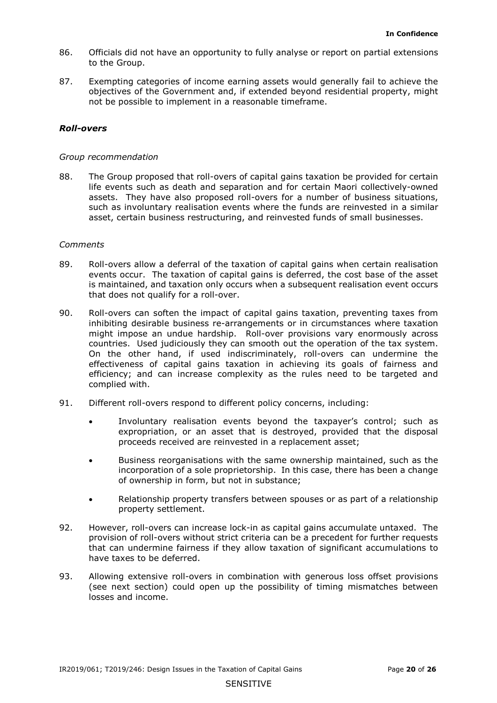- to the Group. 86. Officials did not have an opportunity to fully analyse or report on partial extensions
- 87. Exempting categories of income earning assets would generally fail to achieve the objectives of the Government and, if extended beyond residential property, might not be possible to implement in a reasonable timeframe.

## *Roll-overs*

### *Group recommendation*

 such as involuntary realisation events where the funds are reinvested in a similar 88. The Group proposed that roll-overs of capital gains taxation be provided for certain life events such as death and separation and for certain Maori collectively-owned assets. They have also proposed roll-overs for a number of business situations, asset, certain business restructuring, and reinvested funds of small businesses.

### *Comments*

- 89. Roll-overs allow a deferral of the taxation of capital gains when certain realisation events occur. The taxation of capital gains is deferred, the cost base of the asset is maintained, and taxation only occurs when a subsequent realisation event occurs that does not qualify for a roll-over.
- 90. Roll-overs can soften the impact of capital gains taxation, preventing taxes from countries. Used judiciously they can smooth out the operation of the tax system. effectiveness of capital gains taxation in achieving its goals of fairness and inhibiting desirable business re-arrangements or in circumstances where taxation might impose an undue hardship. Roll-over provisions vary enormously across On the other hand, if used indiscriminately, roll-overs can undermine the efficiency; and can increase complexity as the rules need to be targeted and complied with.
- 91. Different roll-overs respond to different policy concerns, including:
	- Involuntary realisation events beyond the taxpayer's control; such as expropriation, or an asset that is destroyed, provided that the disposal proceeds received are reinvested in a replacement asset;
	- incorporation of a sole proprietorship. In this case, there has been a change • Business reorganisations with the same ownership maintained, such as the of ownership in form, but not in substance;
	- Relationship property transfers between spouses or as part of a relationship property settlement.
- 92. However, roll-overs can increase lock-in as capital gains accumulate untaxed. The provision of roll-overs without strict criteria can be a precedent for further requests that can undermine fairness if they allow taxation of significant accumulations to have taxes to be deferred.
- 93. Allowing extensive roll-overs in combination with generous loss offset provisions (see next section) could open up the possibility of timing mismatches between losses and income.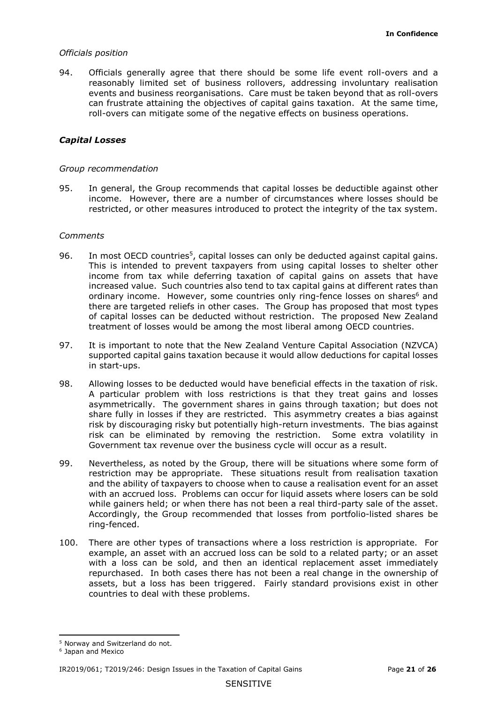can frustrate attaining the objectives of capital gains taxation. At the same time, 94. Officials generally agree that there should be some life event roll-overs and a reasonably limited set of business rollovers, addressing involuntary realisation events and business reorganisations. Care must be taken beyond that as roll-overs roll-overs can mitigate some of the negative effects on business operations.

## *Capital Losses*

#### *Group recommendation*

 restricted, or other measures introduced to protect the integrity of the tax system. 95. In general, the Group recommends that capital losses be deductible against other income. However, there are a number of circumstances where losses should be

#### *Comments*

- In most OECD countries<sup>5</sup>, capital losses can only be deducted against capital gains. 96. In most OECD countries<sup>5</sup>, capital losses can only be deducted against capital gains.<br>This is intended to prevent taxpayers from using capital losses to shelter other ordinary income. However, some countries only ring-fence losses on shares<sup>6</sup> and there are targeted reliefs in other cases. The Group has proposed that most types income from tax while deferring taxation of capital gains on assets that have increased value. Such countries also tend to tax capital gains at different rates than of capital losses can be deducted without restriction. The proposed New Zealand treatment of losses would be among the most liberal among OECD countries.
- 97. It is important to note that the New Zealand Venture Capital Association (NZVCA) supported capital gains taxation because it would allow deductions for capital losses in start-ups.
- Allowing losses to be deducted would have beneficial effects in the taxation of risk. 98. Allowing losses to be deducted would have beneficial effects in the taxation of risk.<br>A particular problem with loss restrictions is that they treat gains and losses share fully in losses if they are restricted. This asymmetry creates a bias against risk by discouraging risky but potentially high-return investments. The bias against risk can be eliminated by removing the restriction. Some extra volatility in Government tax revenue over the business cycle will occur as a result. asymmetrically. The government shares in gains through taxation; but does not
- 99. Nevertheless, as noted by the Group, there will be situations where some form of restriction may be appropriate. These situations result from realisation taxation with an accrued loss. Problems can occur for liquid assets where losers can be sold while gainers held; or when there has not been a real third-party sale of the asset. and the ability of taxpayers to choose when to cause a realisation event for an asset Accordingly, the Group recommended that losses from portfolio-listed shares be ring-fenced.
- repurchased. In both cases there has not been a real change in the ownership of 100. There are other types of transactions where a loss restriction is appropriate. For example, an asset with an accrued loss can be sold to a related party; or an asset with a loss can be sold, and then an identical replacement asset immediately assets, but a loss has been triggered. Fairly standard provisions exist in other countries to deal with these problems.

<sup>5</sup> Norway and Switzerland do not.

<sup>&</sup>lt;sup>6</sup> Japan and Mexico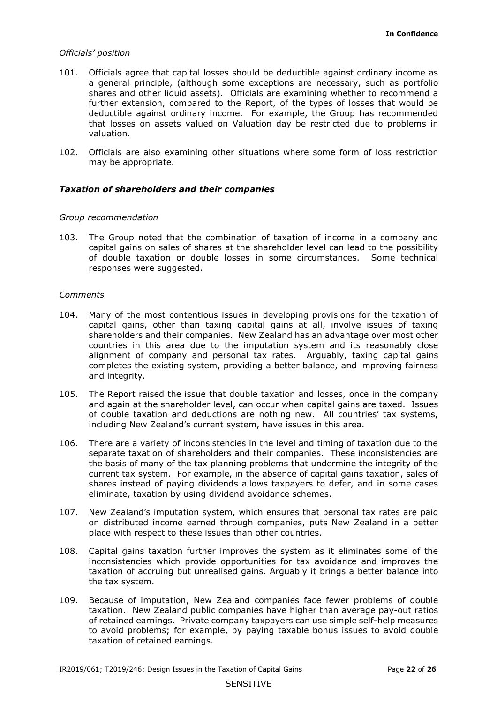- a general principle, (although some exceptions are necessary, such as portfolio shares and other liquid assets). Officials are examining whether to recommend a that losses on assets valued on Valuation day be restricted due to problems in 101. Officials agree that capital losses should be deductible against ordinary income as further extension, compared to the Report, of the types of losses that would be deductible against ordinary income. For example, the Group has recommended valuation.
- 102. Officials are also examining other situations where some form of loss restriction may be appropriate.

#### *Taxation of shareholders and their companies*

#### *Group recommendation*

103. The Group noted that the combination of taxation of income in a company and capital gains on sales of shares at the shareholder level can lead to the possibility of double taxation or double losses in some circumstances. Some technical responses were suggested.

#### *Comments*

- capital gains, other than taxing capital gains at all, involve issues of taxing shareholders and their companies. New Zealand has an advantage over most other completes the existing system, providing a better balance, and improving fairness 104. Many of the most contentious issues in developing provisions for the taxation of countries in this area due to the imputation system and its reasonably close alignment of company and personal tax rates. Arguably, taxing capital gains and integrity.
- and again at the shareholder level, can occur when capital gains are taxed. Issues 105. The Report raised the issue that double taxation and losses, once in the company of double taxation and deductions are nothing new. All countries' tax systems, including New Zealand's current system, have issues in this area.
- the basis of many of the tax planning problems that undermine the integrity of the current tax system. For example, in the absence of capital gains taxation, sales of shares instead of paying dividends allows taxpayers to defer, and in some cases 106. There are a variety of inconsistencies in the level and timing of taxation due to the separate taxation of shareholders and their companies. These inconsistencies are eliminate, taxation by using dividend avoidance schemes.
- place with respect to these issues than other countries. 107. New Zealand's imputation system, which ensures that personal tax rates are paid on distributed income earned through companies, puts New Zealand in a better
- the tax system. the tax system.<br>109. Because of imputation, New Zealand companies face fewer problems of double 108. Capital gains taxation further improves the system as it eliminates some of the inconsistencies which provide opportunities for tax avoidance and improves the taxation of accruing but unrealised gains. Arguably it brings a better balance into
- of retained earnings. Private company taxpayers can use simple self-help measures taxation. New Zealand public companies have higher than average pay-out ratios to avoid problems; for example, by paying taxable bonus issues to avoid double taxation of retained earnings.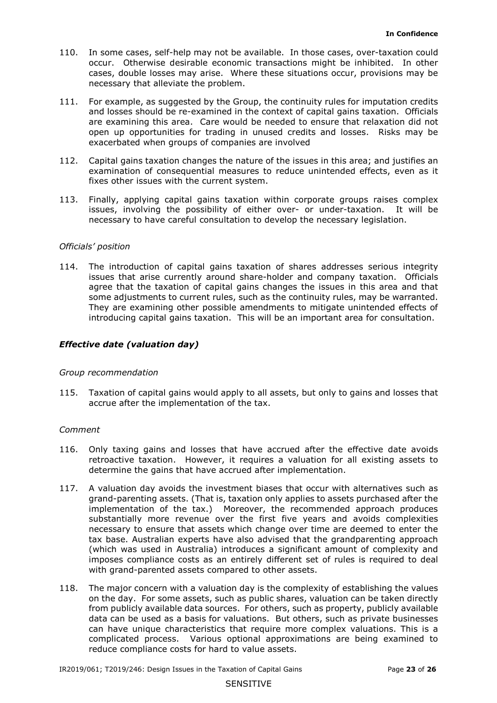- 110. In some cases, self-help may not be available. In those cases, over-taxation could occur. Otherwise desirable economic transactions might be inhibited. In other cases, double losses may arise. Where these situations occur, provisions may be necessary that alleviate the problem.
- and losses should be re-examined in the context of capital gains taxation. Officials open up opportunities for trading in unused credits and losses. Risks may be 111. For example, as suggested by the Group, the continuity rules for imputation credits are examining this area. Care would be needed to ensure that relaxation did not exacerbated when groups of companies are involved
- 112. Capital gains taxation changes the nature of the issues in this area; and justifies an examination of consequential measures to reduce unintended effects, even as it fixes other issues with the current system.
- 113. Finally, applying capital gains taxation within corporate groups raises complex issues, involving the possibility of either over- or under-taxation. It will be necessary to have careful consultation to develop the necessary legislation.

 agree that the taxation of capital gains changes the issues in this area and that They are examining other possible amendments to mitigate unintended effects of introducing capital gains taxation. This will be an important area for consultation. 114. The introduction of capital gains taxation of shares addresses serious integrity issues that arise currently around share-holder and company taxation. Officials some adjustments to current rules, such as the continuity rules, may be warranted.

## *Effective date (valuation day)*

#### *Group recommendation*

115. Taxation of capital gains would apply to all assets, but only to gains and losses that accrue after the implementation of the tax.

#### *Comment*

- retroactive taxation. However, it requires a valuation for all existing assets to determine the gains that have accrued after implementation. 116. Only taxing gains and losses that have accrued after the effective date avoids
- substantially more revenue over the first five years and avoids complexities necessary to ensure that assets which change over time are deemed to enter the (which was used in Australia) introduces a significant amount of complexity and with grand-parented assets compared to other assets. 117. A valuation day avoids the investment biases that occur with alternatives such as grand-parenting assets. (That is, taxation only applies to assets purchased after the implementation of the tax.) Moreover, the recommended approach produces tax base. Australian experts have also advised that the grandparenting approach imposes compliance costs as an entirely different set of rules is required to deal
- complicated process. Various optional approximations are being examined to 118. The major concern with a valuation day is the complexity of establishing the values on the day. For some assets, such as public shares, valuation can be taken directly from publicly available data sources. For others, such as property, publicly available data can be used as a basis for valuations. But others, such as private businesses can have unique characteristics that require more complex valuations. This is a reduce compliance costs for hard to value assets.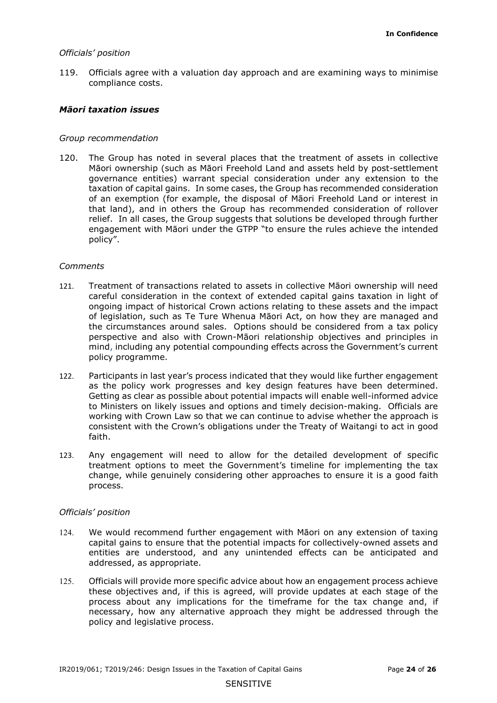119. Officials agree with a valuation day approach and are examining ways to minimise compliance costs.

#### *Māori taxation issues*

#### *Group recommendation*

 taxation of capital gains. In some cases, the Group has recommended consideration that land), and in others the Group has recommended consideration of rollover relief. In all cases, the Group suggests that solutions be developed through further engagement with Māori under the GTPP "to ensure the rules achieve the intended 120. The Group has noted in several places that the treatment of assets in collective Māori ownership (such as Māori Freehold Land and assets held by post-settlement governance entities) warrant special consideration under any extension to the of an exemption (for example, the disposal of Māori Freehold Land or interest in policy".

#### *Comments*

- the circumstances around sales. Options should be considered from a tax policy policy programme. 121. Treatment of transactions related to assets in collective Māori ownership will need careful consideration in the context of extended capital gains taxation in light of ongoing impact of historical Crown actions relating to these assets and the impact of legislation, such as Te Ture Whenua Māori Act, on how they are managed and perspective and also with Crown-Māori relationship objectives and principles in mind, including any potential compounding effects across the Government's current
- 122. Participants in last year's process indicated that they would like further engagement as the policy work progresses and key design features have been determined. Getting as clear as possible about potential impacts will enable well-informed advice to Ministers on likely issues and options and timely decision-making. Officials are working with Crown Law so that we can continue to advise whether the approach is consistent with the Crown's obligations under the Treaty of Waitangi to act in good faith.
- change, while genuinely considering other approaches to ensure it is a good faith 123. Any engagement will need to allow for the detailed development of specific treatment options to meet the Government's timeline for implementing the tax process.

#### *Officials' position*

- 124. We would recommend further engagement with Māori on any extension of taxing capital gains to ensure that the potential impacts for collectively-owned assets and entities are understood, and any unintended effects can be anticipated and addressed, as appropriate.
- 125. Officials will provide more specific advice about how an engagement process achieve these objectives and, if this is agreed, will provide updates at each stage of the process about any implications for the timeframe for the tax change and, if necessary, how any alternative approach they might be addressed through the policy and legislative process.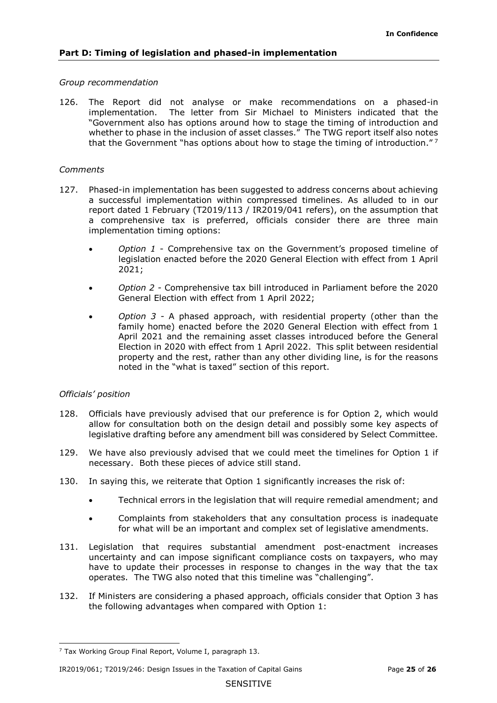## *Group recommendation*

 whether to phase in the inclusion of asset classes." The TWG report itself also notes that the Government "has options about how to stage the timing of introduction."<sup>7</sup> 126. The Report did not analyse or make recommendations on a phased-in implementation. The letter from Sir Michael to Ministers indicated that the "Government also has options around how to stage the timing of introduction and

## *Comments*

- 127. Phased-in implementation has been suggested to address concerns about achieving a successful implementation within compressed timelines. As alluded to in our report dated 1 February (T2019/113 / IR2019/041 refers), on the assumption that a comprehensive tax is preferred, officials consider there are three main implementation timing options:
	- legislation enacted before the 2020 General Election with effect from 1 April • *Option 1* - Comprehensive tax on the Government's proposed timeline of 2021;
	- • *Option 2 -* Comprehensive tax bill introduced in Parliament before the 2020 General Election with effect from 1 April 2022;
	- *Option 3 -* A phased approach, with residential property (other than the family home) enacted before the 2020 General Election with effect from 1 April 2021 and the remaining asset classes introduced before the General Election in 2020 with effect from 1 April 2022. This split between residential property and the rest, rather than any other dividing line, is for the reasons noted in the "what is taxed" section of this report.

## *Officials' position*

- allow for consultation both on the design detail and possibly some key aspects of legislative drafting before any amendment bill was considered by Select Committee. 128. Officials have previously advised that our preference is for Option 2, which would
- legislative drafting before any amendment bill was considered by Select Committee. 129. We have also previously advised that we could meet the timelines for Option 1 if necessary. Both these pieces of advice still stand.
- 130. In saying this, we reiterate that Option 1 significantly increases the risk of:
	- Technical errors in the legislation that will require remedial amendment; and
	- for what will be an important and complex set of legislative amendments. • Complaints from stakeholders that any consultation process is inadequate
- 131. Legislation that requires substantial amendment post-enactment increases uncertainty and can impose significant compliance costs on taxpayers, who may have to update their processes in response to changes in the way that the tax operates. The TWG also noted that this timeline was "challenging".
- 132. If Ministers are considering a phased approach, officials consider that Option 3 has the following advantages when compared with Option 1:

 <sup>7</sup> Tax Working Group Final Report, Volume I, paragraph 13.